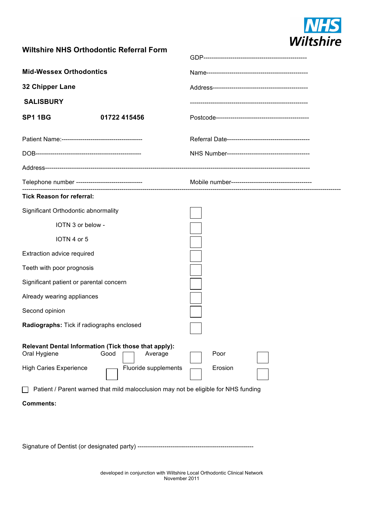

## **Wiltshire NHS Orthodontic Referral Form**

| <b>Mid-Wessex Orthodontics</b>                    |                                                                                    |         |  |
|---------------------------------------------------|------------------------------------------------------------------------------------|---------|--|
| 32 Chipper Lane                                   |                                                                                    |         |  |
| <b>SALISBURY</b>                                  |                                                                                    |         |  |
| <b>SP1 1BG</b>                                    | 01722 415456                                                                       |         |  |
|                                                   |                                                                                    |         |  |
|                                                   |                                                                                    |         |  |
|                                                   |                                                                                    |         |  |
| Telephone number -------------------------------- |                                                                                    |         |  |
| <b>Tick Reason for referral:</b>                  |                                                                                    |         |  |
| Significant Orthodontic abnormality               |                                                                                    |         |  |
| IOTN 3 or below -                                 |                                                                                    |         |  |
| IOTN 4 or 5                                       |                                                                                    |         |  |
| Extraction advice required                        |                                                                                    |         |  |
| Teeth with poor prognosis                         |                                                                                    |         |  |
| Significant patient or parental concern           |                                                                                    |         |  |
| Already wearing appliances                        |                                                                                    |         |  |
| Second opinion                                    |                                                                                    |         |  |
| Radiographs: Tick if radiographs enclosed         |                                                                                    |         |  |
| Oral Hygiene                                      | Relevant Dental Information (Tick those that apply):<br>Good<br>Average            | Poor    |  |
| <b>High Caries Experience</b>                     | Fluoride supplements                                                               | Erosion |  |
|                                                   | Patient / Parent warned that mild malocclusion may not be eligible for NHS funding |         |  |
| <b>Comments:</b>                                  |                                                                                    |         |  |
|                                                   |                                                                                    |         |  |
|                                                   |                                                                                    |         |  |

Signature of Dentist (or designated party) --------------------------------------------------------

developed in conjunction with Wiltshire Local Orthodontic Clinical Network November 2011